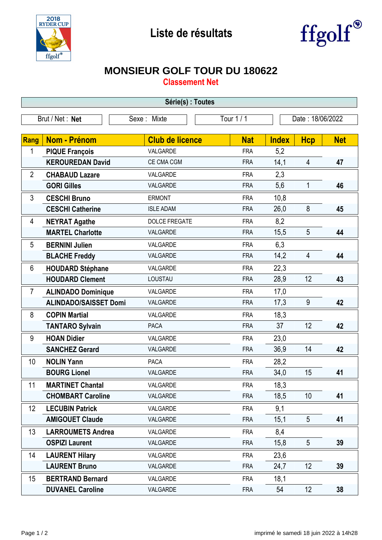



## **MONSIEUR GOLF TOUR DU 180622**

**Classement Net**

| Série(s) : Toutes |                              |                        |                                |              |                 |            |  |  |  |
|-------------------|------------------------------|------------------------|--------------------------------|--------------|-----------------|------------|--|--|--|
| Brut / Net: Net   |                              | Sexe: Mixte            | Tour 1 / 1<br>Date: 18/06/2022 |              |                 |            |  |  |  |
|                   |                              |                        |                                |              |                 |            |  |  |  |
| Rang              | <b>Nom - Prénom</b>          | <b>Club de licence</b> | <b>Nat</b>                     | <b>Index</b> | <b>Hcp</b>      | <b>Net</b> |  |  |  |
| 1                 | <b>PIQUE François</b>        | VALGARDE               | <b>FRA</b>                     | 5,2          |                 |            |  |  |  |
|                   | <b>KEROUREDAN David</b>      | CE CMA CGM             | <b>FRA</b>                     | 14,1         | $\overline{4}$  | 47         |  |  |  |
| $\overline{2}$    | <b>CHABAUD Lazare</b>        | VALGARDE               | <b>FRA</b>                     | 2,3          |                 |            |  |  |  |
|                   | <b>GORI Gilles</b>           | VALGARDE               | <b>FRA</b>                     | 5,6          | $\mathbf{1}$    | 46         |  |  |  |
| 3                 | <b>CESCHI Bruno</b>          | <b>ERMONT</b>          | <b>FRA</b>                     | 10,8         |                 |            |  |  |  |
|                   | <b>CESCHI Catherine</b>      | <b>ISLE ADAM</b>       | <b>FRA</b>                     | 26,0         | 8               | 45         |  |  |  |
| 4                 | <b>NEYRAT Agathe</b>         | <b>DOLCE FREGATE</b>   | <b>FRA</b>                     | 8,2          |                 |            |  |  |  |
|                   | <b>MARTEL Charlotte</b>      | VALGARDE               | <b>FRA</b>                     | 15,5         | 5               | 44         |  |  |  |
| 5                 | <b>BERNINI Julien</b>        | VALGARDE               | <b>FRA</b>                     | 6,3          |                 |            |  |  |  |
|                   | <b>BLACHE Freddy</b>         | VALGARDE               | <b>FRA</b>                     | 14,2         | $\overline{4}$  | 44         |  |  |  |
| 6                 | <b>HOUDARD Stéphane</b>      | VALGARDE               | <b>FRA</b>                     | 22,3         |                 |            |  |  |  |
|                   | <b>HOUDARD Clement</b>       | LOUSTAU                | <b>FRA</b>                     | 28,9         | 12              | 43         |  |  |  |
| 7                 | <b>ALINDADO Dominique</b>    | VALGARDE               | <b>FRA</b>                     | 17,0         |                 |            |  |  |  |
|                   | <b>ALINDADO/SAISSET Domi</b> | VALGARDE               | <b>FRA</b>                     | 17,3         | 9               | 42         |  |  |  |
| 8                 | <b>COPIN Martial</b>         | VALGARDE               | <b>FRA</b>                     | 18,3         |                 |            |  |  |  |
|                   | <b>TANTARO Sylvain</b>       | PACA                   | <b>FRA</b>                     | 37           | 12              | 42         |  |  |  |
| 9                 | <b>HOAN Didier</b>           | VALGARDE               | <b>FRA</b>                     | 23,0         |                 |            |  |  |  |
|                   | <b>SANCHEZ Gerard</b>        | VALGARDE               | <b>FRA</b>                     | 36,9         | 14              | 42         |  |  |  |
| 10                | <b>NOLIN Yann</b>            | <b>PACA</b>            | <b>FRA</b>                     | 28,2         |                 |            |  |  |  |
|                   | <b>BOURG Lionel</b>          | VALGARDE               | <b>FRA</b>                     | 34,0         | 15              | 41         |  |  |  |
| 11                | <b>MARTINET Chantal</b>      | VALGARDE               | <b>FRA</b>                     | 18,3         |                 |            |  |  |  |
|                   | <b>CHOMBART Caroline</b>     | VALGARDE               | <b>FRA</b>                     | 18,5         | 10 <sup>1</sup> | 41         |  |  |  |
| 12                | <b>LECUBIN Patrick</b>       | VALGARDE               | <b>FRA</b>                     | 9,1          |                 |            |  |  |  |
|                   | <b>AMIGOUET Claude</b>       | VALGARDE               | <b>FRA</b>                     | 15,1         | $5\phantom{.0}$ | 41         |  |  |  |
| 13                | <b>LARROUMETS Andrea</b>     | VALGARDE               | <b>FRA</b>                     | 8,4          |                 |            |  |  |  |
|                   | <b>OSPIZI Laurent</b>        | VALGARDE               | <b>FRA</b>                     | 15,8         | 5               | 39         |  |  |  |
| 14                | <b>LAURENT Hilary</b>        | VALGARDE               | <b>FRA</b>                     | 23,6         |                 |            |  |  |  |
|                   | <b>LAURENT Bruno</b>         | VALGARDE               | <b>FRA</b>                     | 24,7         | 12              | 39         |  |  |  |
| 15                | <b>BERTRAND Bernard</b>      | VALGARDE               | <b>FRA</b>                     | 18,1         |                 |            |  |  |  |
|                   | <b>DUVANEL Caroline</b>      | VALGARDE               | <b>FRA</b>                     | 54           | 12              | 38         |  |  |  |